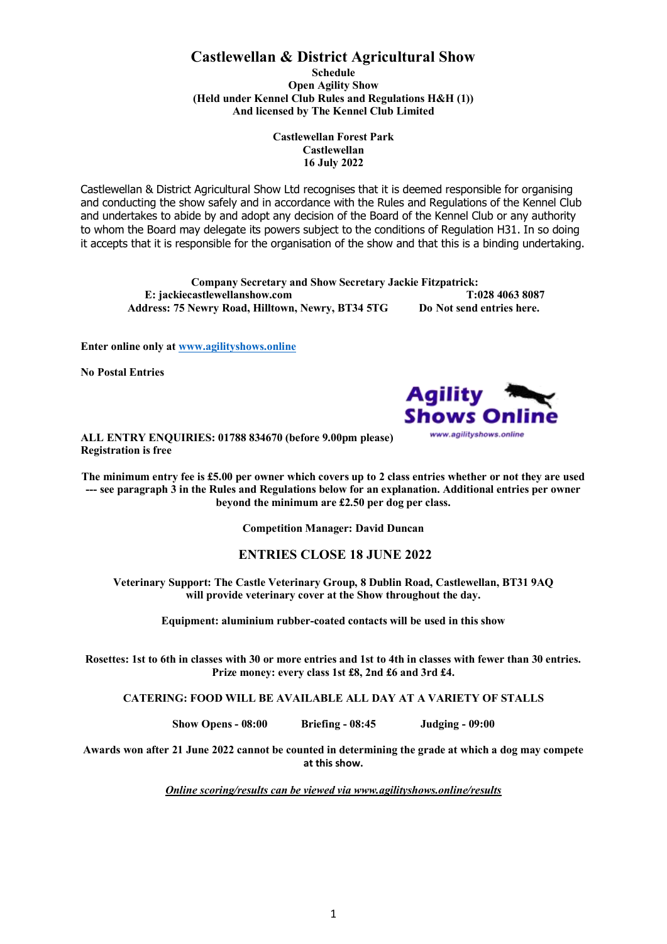# **Castlewellan & District Agricultural Show**

**Schedule Open Agility Show (Held under Kennel Club Rules and Regulations H&H (1)) And licensed by The Kennel Club Limited**

> **Castlewellan Forest Park Castlewellan 16 July 2022**

Castlewellan & District Agricultural Show Ltd recognises that it is deemed responsible for organising and conducting the show safely and in accordance with the Rules and Regulations of the Kennel Club and undertakes to abide by and adopt any decision of the Board of the Kennel Club or any authority to whom the Board may delegate its powers subject to the conditions of Regulation H31. In so doing it accepts that it is responsible for the organisation of the show and that this is a binding undertaking.

**Company Secretary and Show Secretary Jackie Fitzpatrick: E: jackiecastlewellanshow.com T:028 4063 8087 Address: 75 Newry Road, Hilltown, Newry, BT34 5TG Do Not send entries here.**

**Enter online only at [www.agilityshows.online](http://www.agilityshows.online/)**

**No Postal Entries**



**ALL ENTRY ENQUIRIES: 01788 834670 (before 9.00pm please) Registration is free**

**The minimum entry fee is £5.00 per owner which covers up to 2 class entries whether or not they are used --- see paragraph 3 in the Rules and Regulations below for an explanation. Additional entries per owner beyond the minimum are £2.50 per dog per class.**

**Competition Manager: David Duncan**

## **ENTRIES CLOSE 18 JUNE 2022**

**Veterinary Support: The Castle Veterinary Group, 8 Dublin Road, Castlewellan, BT31 9AQ will provide veterinary cover at the Show throughout the day.**

**Equipment: aluminium rubber-coated contacts will be used in this show**

**Rosettes: 1st to 6th in classes with 30 or more entries and 1st to 4th in classes with fewer than 30 entries. Prize money: every class 1st £8, 2nd £6 and 3rd £4.** 

**CATERING: FOOD WILL BE AVAILABLE ALL DAY AT A VARIETY OF STALLS**

**Show Opens - 08:00 Briefing - 08:45 Judging - 09:00**

**Awards won after 21 June 2022 cannot be counted in determining the grade at which a dog may compete at this show.**

*Online scoring/results can be viewed via www.agilityshows.online/results*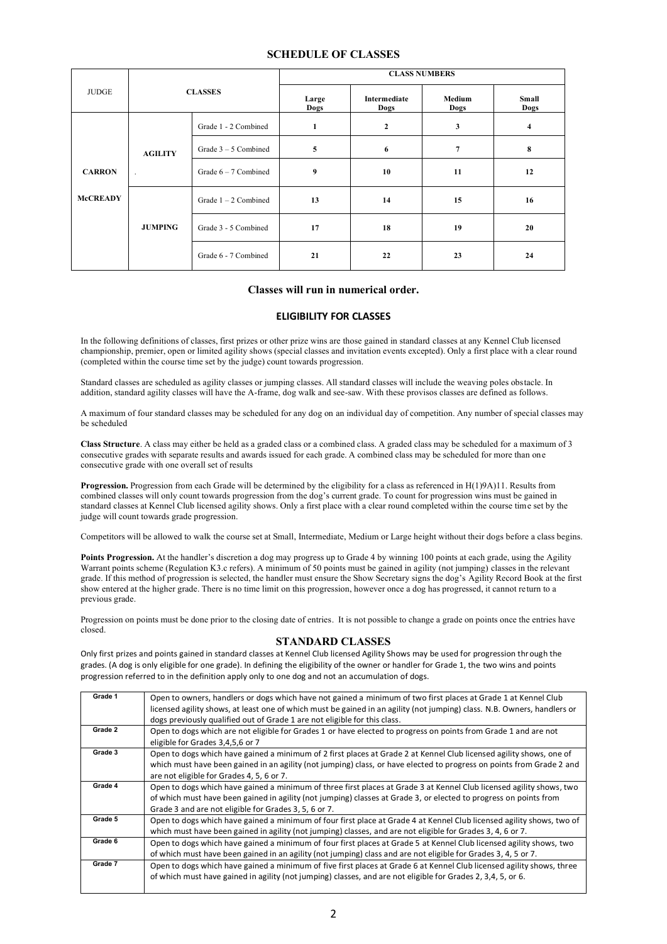### **SCHEDULE OF CLASSES**

|                                  | <b>CLASSES</b>            |                        | <b>CLASS NUMBERS</b> |                             |                |                |
|----------------------------------|---------------------------|------------------------|----------------------|-----------------------------|----------------|----------------|
| <b>JUDGE</b>                     |                           |                        | Large<br><b>Dogs</b> | <b>Intermediate</b><br>Dogs | Medium<br>Dogs | Small<br>Dogs  |
|                                  | <b>AGILITY</b><br>$\cdot$ | Grade 1 - 2 Combined   | $\mathbf{1}$         | $\overline{2}$              | 3              | $\overline{4}$ |
| <b>CARRON</b><br><b>McCREADY</b> |                           | Grade $3 - 5$ Combined | 5                    | 6                           | $\overline{7}$ | 8              |
|                                  |                           | Grade $6 - 7$ Combined | 9                    | 10                          | 11             | 12             |
|                                  | <b>JUMPING</b>            | Grade $1 - 2$ Combined | 13                   | 14                          | 15             | 16             |
|                                  |                           | Grade 3 - 5 Combined   | 17                   | 18                          | 19             | 20             |
|                                  |                           | Grade 6 - 7 Combined   | 21                   | 22                          | 23             | 24             |

#### **Classes will run in numerical order.**

## **ELIGIBILITY FOR CLASSES**

In the following definitions of classes, first prizes or other prize wins are those gained in standard classes at any Kennel Club licensed championship, premier, open or limited agility shows (special classes and invitation events excepted). Only a first place with a clear round (completed within the course time set by the judge) count towards progression.

Standard classes are scheduled as agility classes or jumping classes. All standard classes will include the weaving poles obstacle. In addition, standard agility classes will have the A-frame, dog walk and see-saw. With these provisos classes are defined as follows.

A maximum of four standard classes may be scheduled for any dog on an individual day of competition. Any number of special classes may be scheduled

**Class Structure**. A class may either be held as a graded class or a combined class. A graded class may be scheduled for a maximum of 3 consecutive grades with separate results and awards issued for each grade. A combined class may be scheduled for more than one consecutive grade with one overall set of results

**Progression.** Progression from each Grade will be determined by the eligibility for a class as referenced in H(1)9A)11. Results from combined classes will only count towards progression from the dog's current grade. To count for progression wins must be gained in standard classes at Kennel Club licensed agility shows. Only a first place with a clear round completed within the course time set by the judge will count towards grade progression.

Competitors will be allowed to walk the course set at Small, Intermediate, Medium or Large height without their dogs before a class begins.

**Points Progression.** At the handler's discretion a dog may progress up to Grade 4 by winning 100 points at each grade, using the Agility Warrant points scheme (Regulation K3.c refers). A minimum of 50 points must be gained in agility (not jumping) classes in the relevant grade. If this method of progression is selected, the handler must ensure the Show Secretary signs the dog's Agility Record Book at the first show entered at the higher grade. There is no time limit on this progression, however once a dog has progressed, it cannot return to a previous grade.

Progression on points must be done prior to the closing date of entries. It is not possible to change a grade on points once the entries have closed.

#### **STANDARD CLASSES**

Only first prizes and points gained in standard classes at Kennel Club licensed Agility Shows may be used for progression through the grades. (A dog is only eligible for one grade). In defining the eligibility of the owner or handler for Grade 1, the two wins and points progression referred to in the definition apply only to one dog and not an accumulation of dogs.

| Grade 1 | Open to owners, handlers or dogs which have not gained a minimum of two first places at Grade 1 at Kennel Club           |  |  |  |
|---------|--------------------------------------------------------------------------------------------------------------------------|--|--|--|
|         | licensed agility shows, at least one of which must be gained in an agility (not jumping) class. N.B. Owners, handlers or |  |  |  |
|         | dogs previously qualified out of Grade 1 are not eligible for this class.                                                |  |  |  |
| Grade 2 | Open to dogs which are not eligible for Grades 1 or have elected to progress on points from Grade 1 and are not          |  |  |  |
|         | eligible for Grades 3,4,5,6 or 7                                                                                         |  |  |  |
| Grade 3 | Open to dogs which have gained a minimum of 2 first places at Grade 2 at Kennel Club licensed agility shows, one of      |  |  |  |
|         | which must have been gained in an agility (not jumping) class, or have elected to progress on points from Grade 2 and    |  |  |  |
|         | are not eligible for Grades 4, 5, 6 or 7.                                                                                |  |  |  |
| Grade 4 | Open to dogs which have gained a minimum of three first places at Grade 3 at Kennel Club licensed agility shows, two     |  |  |  |
|         | of which must have been gained in agility (not jumping) classes at Grade 3, or elected to progress on points from        |  |  |  |
|         | Grade 3 and are not eligible for Grades 3, 5, 6 or 7.                                                                    |  |  |  |
| Grade 5 | Open to dogs which have gained a minimum of four first place at Grade 4 at Kennel Club licensed agility shows, two of    |  |  |  |
|         | which must have been gained in agility (not jumping) classes, and are not eligible for Grades 3, 4, 6 or 7.              |  |  |  |
| Grade 6 | Open to dogs which have gained a minimum of four first places at Grade 5 at Kennel Club licensed agility shows, two      |  |  |  |
|         | of which must have been gained in an agility (not jumping) class and are not eligible for Grades 3, 4, 5 or 7.           |  |  |  |
| Grade 7 | Open to dogs which have gained a minimum of five first places at Grade 6 at Kennel Club licensed agility shows, three    |  |  |  |
|         | of which must have gained in agility (not jumping) classes, and are not eligible for Grades 2, 3,4, 5, or 6.             |  |  |  |
|         |                                                                                                                          |  |  |  |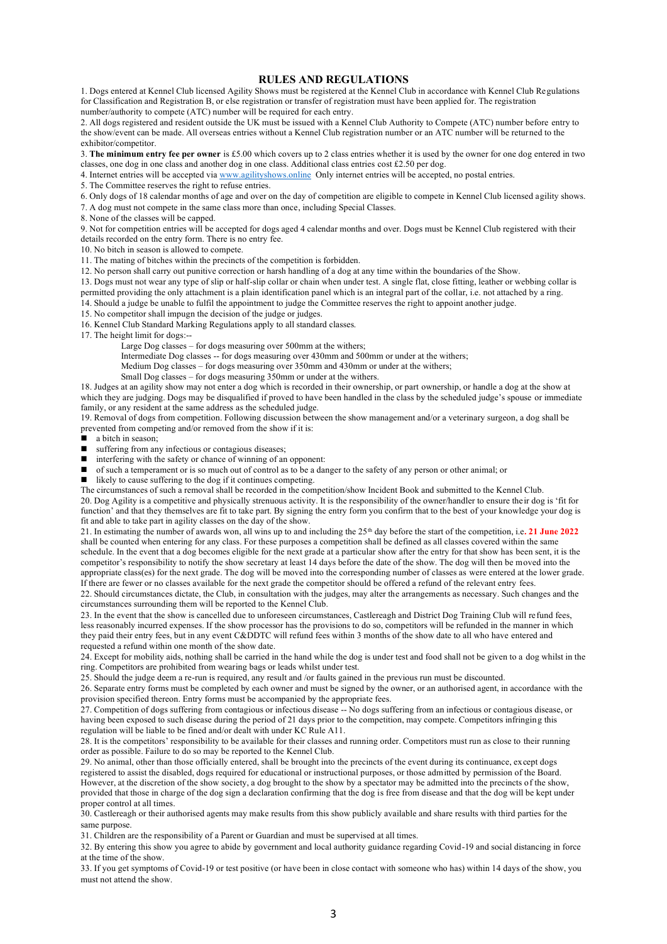#### **RULES AND REGULATIONS**

1. Dogs entered at Kennel Club licensed Agility Shows must be registered at the Kennel Club in accordance with Kennel Club Regulations for Classification and Registration B, or else registration or transfer of registration must have been applied for. The registration number/authority to compete (ATC) number will be required for each entry.

2. All dogs registered and resident outside the UK must be issued with a Kennel Club Authority to Compete (ATC) number before entry to the show/event can be made. All overseas entries without a Kennel Club registration number or an ATC number will be returned to the exhibitor/competitor.

3. **The minimum entry fee per owner** is £5.00 which covers up to 2 class entries whether it is used by the owner for one dog entered in two classes, one dog in one class and another dog in one class. Additional class entries cost £2.50 per dog.

4. Internet entries will be accepted via [www.agilityshows.online](http://www.agilityshows.online/) Only internet entries will be accepted, no postal entries.

5. The Committee reserves the right to refuse entries.

6. Only dogs of 18 calendar months of age and over on the day of competition are eligible to compete in Kennel Club licensed agility shows. 7. A dog must not compete in the same class more than once, including Special Classes.

8. None of the classes will be capped.

9. Not for competition entries will be accepted for dogs aged 4 calendar months and over. Dogs must be Kennel Club registered with their details recorded on the entry form. There is no entry fee.

10. No bitch in season is allowed to compete.

11. The mating of bitches within the precincts of the competition is forbidden.

12. No person shall carry out punitive correction or harsh handling of a dog at any time within the boundaries of the Show.

13. Dogs must not wear any type of slip or half-slip collar or chain when under test. A single flat, close fitting, leather or webbing collar is permitted providing the only attachment is a plain identification panel which is an integral part of the collar, i.e. not attached by a ring.

14. Should a judge be unable to fulfil the appointment to judge the Committee reserves the right to appoint another judge.

15. No competitor shall impugn the decision of the judge or judges.

16. Kennel Club Standard Marking Regulations apply to all standard classes.

17. The height limit for dogs:--

Large Dog classes – for dogs measuring over 500mm at the withers;

Intermediate Dog classes -- for dogs measuring over 430mm and 500mm or under at the withers;

Medium Dog classes – for dogs measuring over 350mm and 430mm or under at the withers;

Small Dog classes – for dogs measuring 350mm or under at the withers.

18. Judges at an agility show may not enter a dog which is recorded in their ownership, or part ownership, or handle a dog at the show at which they are judging. Dogs may be disqualified if proved to have been handled in the class by the scheduled judge's spouse or immediate family, or any resident at the same address as the scheduled judge.

19. Removal of dogs from competition. Following discussion between the show management and/or a veterinary surgeon, a dog shall be prevented from competing and/or removed from the show if it is:

- a bitch in season:
- suffering from any infectious or contagious diseases;
- interfering with the safety or chance of winning of an opponent:
- ◼ of such a temperament or is so much out of control as to be a danger to the safety of any person or other animal; or

likely to cause suffering to the dog if it continues competing.

The circumstances of such a removal shall be recorded in the competition/show Incident Book and submitted to the Kennel Club. 20. Dog Agility is a competitive and physically strenuous activity. It is the responsibility of the owner/handler to ensure their dog is 'fit for function' and that they themselves are fit to take part. By signing the entry form you confirm that to the best of your knowledge your dog is fit and able to take part in agility classes on the day of the show.

21. In estimating the number of awards won, all wins up to and including the 25th day before the start of the competition, i.e**. 21 June 2022** shall be counted when entering for any class. For these purposes a competition shall be defined as all classes covered within the same schedule. In the event that a dog becomes eligible for the next grade at a particular show after the entry for that show has been sent, it is the competitor's responsibility to notify the show secretary at least 14 days before the date of the show. The dog will then be moved into the appropriate class(es) for the next grade. The dog will be moved into the corresponding number of classes as were entered at the lower grade. If there are fewer or no classes available for the next grade the competitor should be offered a refund of the relevant entry fees.

22. Should circumstances dictate, the Club, in consultation with the judges, may alter the arrangements as necessary. Such changes and the circumstances surrounding them will be reported to the Kennel Club.

23. In the event that the show is cancelled due to unforeseen circumstances, Castlereagh and District Dog Training Club will refund fees, less reasonably incurred expenses. If the show processor has the provisions to do so, competitors will be refunded in the manner in which they paid their entry fees, but in any event C&DDTC will refund fees within 3 months of the show date to all who have entered and requested a refund within one month of the show date.

24. Except for mobility aids, nothing shall be carried in the hand while the dog is under test and food shall not be given to a dog whilst in the ring. Competitors are prohibited from wearing bags or leads whilst under test.

25. Should the judge deem a re-run is required, any result and /or faults gained in the previous run must be discounted.

26. Separate entry forms must be completed by each owner and must be signed by the owner, or an authorised agent, in accordance with the provision specified thereon. Entry forms must be accompanied by the appropriate fees.

27. Competition of dogs suffering from contagious or infectious disease -- No dogs suffering from an infectious or contagious disease, or having been exposed to such disease during the period of 21 days prior to the competition, may compete. Competitors infringing this regulation will be liable to be fined and/or dealt with under KC Rule A11.

28. It is the competitors' responsibility to be available for their classes and running order. Competitors must run as close to their running order as possible. Failure to do so may be reported to the Kennel Club.

29. No animal, other than those officially entered, shall be brought into the precincts of the event during its continuance, except dogs registered to assist the disabled, dogs required for educational or instructional purposes, or those admitted by permission of the Board. However, at the discretion of the show society, a dog brought to the show by a spectator may be admitted into the precincts of the show, provided that those in charge of the dog sign a declaration confirming that the dog is free from disease and that the dog will be kept under proper control at all times.

30. Castlereagh or their authorised agents may make results from this show publicly available and share results with third parties for the same purpose.

31. Children are the responsibility of a Parent or Guardian and must be supervised at all times.

32. By entering this show you agree to abide by government and local authority guidance regarding Covid-19 and social distancing in force at the time of the show.

33. If you get symptoms of Covid-19 or test positive (or have been in close contact with someone who has) within 14 days of the show, you must not attend the show.